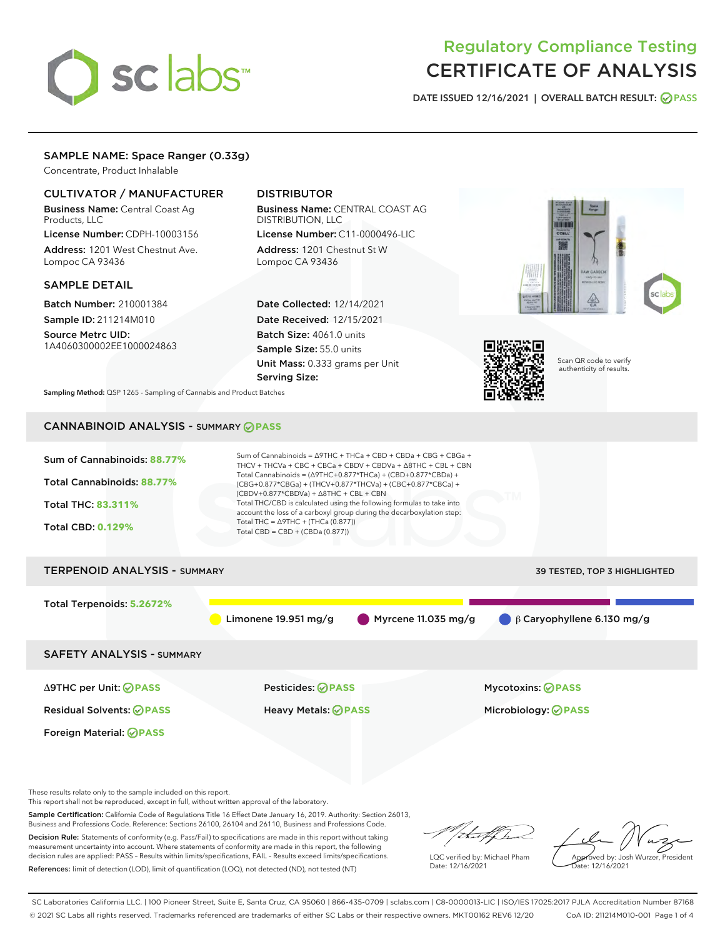# sclabs<sup>\*</sup>

# Regulatory Compliance Testing CERTIFICATE OF ANALYSIS

DATE ISSUED 12/16/2021 | OVERALL BATCH RESULT: @ PASS

# SAMPLE NAME: Space Ranger (0.33g)

Concentrate, Product Inhalable

# CULTIVATOR / MANUFACTURER

Business Name: Central Coast Ag Products, LLC

License Number: CDPH-10003156 Address: 1201 West Chestnut Ave. Lompoc CA 93436

#### SAMPLE DETAIL

Batch Number: 210001384 Sample ID: 211214M010

Source Metrc UID: 1A4060300002EE1000024863

# DISTRIBUTOR

Business Name: CENTRAL COAST AG DISTRIBUTION, LLC License Number: C11-0000496-LIC

Address: 1201 Chestnut St W Lompoc CA 93436

Date Collected: 12/14/2021 Date Received: 12/15/2021 Batch Size: 4061.0 units Sample Size: 55.0 units Unit Mass: 0.333 grams per Unit Serving Size:





Scan QR code to verify authenticity of results.

Sampling Method: QSP 1265 - Sampling of Cannabis and Product Batches

# CANNABINOID ANALYSIS - SUMMARY **PASS**



These results relate only to the sample included on this report.

This report shall not be reproduced, except in full, without written approval of the laboratory.

Sample Certification: California Code of Regulations Title 16 Effect Date January 16, 2019. Authority: Section 26013, Business and Professions Code. Reference: Sections 26100, 26104 and 26110, Business and Professions Code.

Decision Rule: Statements of conformity (e.g. Pass/Fail) to specifications are made in this report without taking measurement uncertainty into account. Where statements of conformity are made in this report, the following decision rules are applied: PASS – Results within limits/specifications, FAIL – Results exceed limits/specifications. References: limit of detection (LOD), limit of quantification (LOQ), not detected (ND), not tested (NT)

that f In

LQC verified by: Michael Pham Date: 12/16/2021

Approved by: Josh Wurzer, President ate: 12/16/2021

SC Laboratories California LLC. | 100 Pioneer Street, Suite E, Santa Cruz, CA 95060 | 866-435-0709 | sclabs.com | C8-0000013-LIC | ISO/IES 17025:2017 PJLA Accreditation Number 87168 © 2021 SC Labs all rights reserved. Trademarks referenced are trademarks of either SC Labs or their respective owners. MKT00162 REV6 12/20 CoA ID: 211214M010-001 Page 1 of 4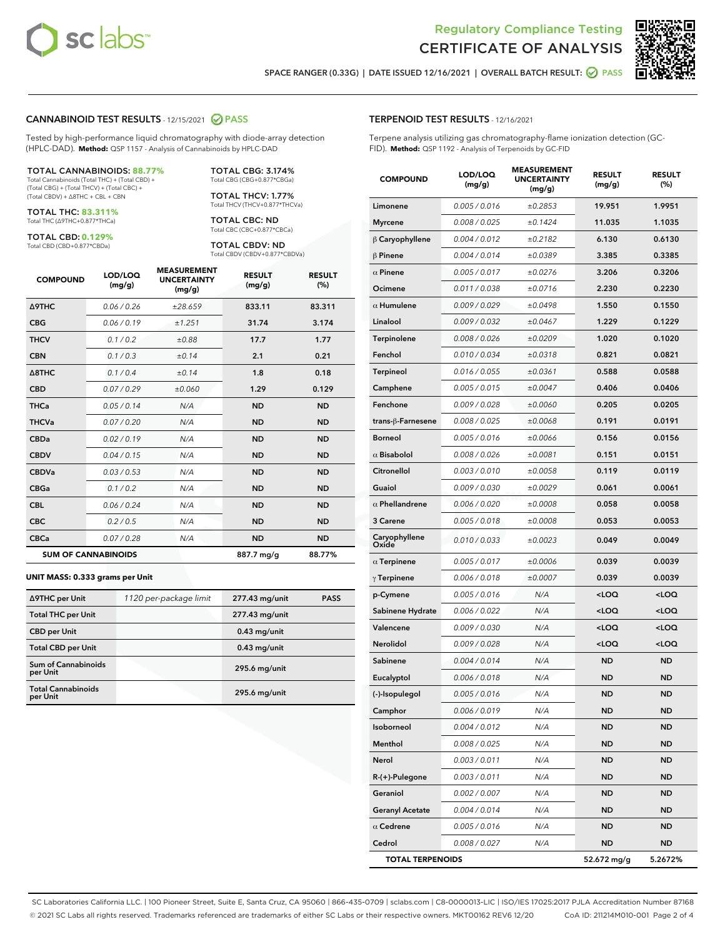



SPACE RANGER (0.33G) | DATE ISSUED 12/16/2021 | OVERALL BATCH RESULT: **○** PASS

#### CANNABINOID TEST RESULTS - 12/15/2021 2 PASS

Tested by high-performance liquid chromatography with diode-array detection (HPLC-DAD). **Method:** QSP 1157 - Analysis of Cannabinoids by HPLC-DAD

#### TOTAL CANNABINOIDS: **88.77%**

Total Cannabinoids (Total THC) + (Total CBD) + (Total CBG) + (Total THCV) + (Total CBC) + (Total CBDV) + ∆8THC + CBL + CBN

TOTAL THC: **83.311%** Total THC (∆9THC+0.877\*THCa)

TOTAL CBD: **0.129%**

Total CBD (CBD+0.877\*CBDa)

TOTAL CBG: 3.174% Total CBG (CBG+0.877\*CBGa)

TOTAL THCV: 1.77% Total THCV (THCV+0.877\*THCVa)

TOTAL CBC: ND Total CBC (CBC+0.877\*CBCa)

TOTAL CBDV: ND Total CBDV (CBDV+0.877\*CBDVa)

| <b>COMPOUND</b>  | LOD/LOQ<br>(mg/g)          | <b>MEASUREMENT</b><br><b>UNCERTAINTY</b><br>(mg/g) | <b>RESULT</b><br>(mg/g) | <b>RESULT</b><br>(%) |
|------------------|----------------------------|----------------------------------------------------|-------------------------|----------------------|
| <b>A9THC</b>     | 0.06 / 0.26                | ±28.659                                            | 833.11                  | 83.311               |
| <b>CBG</b>       | 0.06/0.19                  | ±1.251                                             | 31.74                   | 3.174                |
| <b>THCV</b>      | 0.1/0.2                    | ±0.88                                              | 17.7                    | 1.77                 |
| <b>CBN</b>       | 0.1/0.3                    | ±0.14                                              | 2.1                     | 0.21                 |
| $\triangle$ 8THC | 0.1 / 0.4                  | ±0.14                                              | 1.8                     | 0.18                 |
| <b>CBD</b>       | 0.07/0.29                  | ±0.060                                             | 1.29                    | 0.129                |
| <b>THCa</b>      | 0.05/0.14                  | N/A                                                | <b>ND</b>               | <b>ND</b>            |
| <b>THCVa</b>     | 0.07 / 0.20                | N/A                                                | <b>ND</b>               | <b>ND</b>            |
| <b>CBDa</b>      | 0.02/0.19                  | N/A                                                | <b>ND</b>               | <b>ND</b>            |
| <b>CBDV</b>      | 0.04 / 0.15                | N/A                                                | <b>ND</b>               | <b>ND</b>            |
| <b>CBDVa</b>     | 0.03/0.53                  | N/A                                                | <b>ND</b>               | <b>ND</b>            |
| <b>CBGa</b>      | 0.1/0.2                    | N/A                                                | <b>ND</b>               | <b>ND</b>            |
| <b>CBL</b>       | 0.06 / 0.24                | N/A                                                | <b>ND</b>               | <b>ND</b>            |
| <b>CBC</b>       | 0.2 / 0.5                  | N/A                                                | <b>ND</b>               | <b>ND</b>            |
| <b>CBCa</b>      | 0.07/0.28                  | N/A                                                | <b>ND</b>               | <b>ND</b>            |
|                  | <b>SUM OF CANNABINOIDS</b> |                                                    | 887.7 mg/g              | 88.77%               |

#### **UNIT MASS: 0.333 grams per Unit**

| ∆9THC per Unit                         | 1120 per-package limit | 277.43 mg/unit | <b>PASS</b> |
|----------------------------------------|------------------------|----------------|-------------|
| <b>Total THC per Unit</b>              |                        | 277.43 mg/unit |             |
| <b>CBD per Unit</b>                    |                        | $0.43$ mg/unit |             |
| <b>Total CBD per Unit</b>              |                        | $0.43$ mg/unit |             |
| <b>Sum of Cannabinoids</b><br>per Unit |                        | 295.6 mg/unit  |             |
| <b>Total Cannabinoids</b><br>per Unit  |                        | 295.6 mg/unit  |             |

| <b>COMPOUND</b>         | LOD/LOQ<br>(mg/g) | <b>ASUREIVI</b><br><b>UNCERTAINTY</b><br>(mg/g) | <b>RESULT</b><br>(mg/g)                         | <b>RESULT</b><br>$(\%)$ |
|-------------------------|-------------------|-------------------------------------------------|-------------------------------------------------|-------------------------|
| Limonene                | 0.005 / 0.016     | ±0.2853                                         | 19.951                                          | 1.9951                  |
| <b>Myrcene</b>          | 0.008 / 0.025     | ±0.1424                                         | 11.035                                          | 1.1035                  |
| $\beta$ Caryophyllene   | 0.004 / 0.012     | ±0.2182                                         | 6.130                                           | 0.6130                  |
| $\beta$ Pinene          | 0.004 / 0.014     | ±0.0389                                         | 3.385                                           | 0.3385                  |
| $\alpha$ Pinene         | 0.005 / 0.017     | ±0.0276                                         | 3.206                                           | 0.3206                  |
| Ocimene                 | 0.011 / 0.038     | ±0.0716                                         | 2.230                                           | 0.2230                  |
| $\alpha$ Humulene       | 0.009/0.029       | ±0.0498                                         | 1.550                                           | 0.1550                  |
| Linalool                | 0.009 / 0.032     | ±0.0467                                         | 1.229                                           | 0.1229                  |
| <b>Terpinolene</b>      | 0.008 / 0.026     | ±0.0209                                         | 1.020                                           | 0.1020                  |
| Fenchol                 | 0.010 / 0.034     | ±0.0318                                         | 0.821                                           | 0.0821                  |
| Terpineol               | 0.016 / 0.055     | ±0.0361                                         | 0.588                                           | 0.0588                  |
| Camphene                | 0.005 / 0.015     | ±0.0047                                         | 0.406                                           | 0.0406                  |
| Fenchone                | 0.009 / 0.028     | ±0.0060                                         | 0.205                                           | 0.0205                  |
| trans-ß-Farnesene       | 0.008 / 0.025     | ±0.0068                                         | 0.191                                           | 0.0191                  |
| <b>Borneol</b>          | 0.005 / 0.016     | ±0.0066                                         | 0.156                                           | 0.0156                  |
| $\alpha$ Bisabolol      | 0.008 / 0.026     | ±0.0081                                         | 0.151                                           | 0.0151                  |
| Citronellol             | 0.003 / 0.010     | ±0.0058                                         | 0.119                                           | 0.0119                  |
| Guaiol                  | 0.009 / 0.030     | ±0.0029                                         | 0.061                                           | 0.0061                  |
| $\alpha$ Phellandrene   | 0.006 / 0.020     | ±0.0008                                         | 0.058                                           | 0.0058                  |
| 3 Carene                | 0.005 / 0.018     | ±0.0008                                         | 0.053                                           | 0.0053                  |
| Caryophyllene<br>Oxide  | 0.010 / 0.033     | ±0.0023                                         | 0.049                                           | 0.0049                  |
| $\alpha$ Terpinene      | 0.005 / 0.017     | ±0.0006                                         | 0.039                                           | 0.0039                  |
| $\gamma$ Terpinene      | 0.006 / 0.018     | ±0.0007                                         | 0.039                                           | 0.0039                  |
| p-Cymene                | 0.005 / 0.016     | N/A                                             | <loq< th=""><th><loq< th=""></loq<></th></loq<> | <loq< th=""></loq<>     |
| Sabinene Hydrate        | 0.006 / 0.022     | N/A                                             | <loq< th=""><th><loq< th=""></loq<></th></loq<> | <loq< th=""></loq<>     |
| Valencene               | 0.009 / 0.030     | N/A                                             | <loq< th=""><th><loq< th=""></loq<></th></loq<> | <loq< th=""></loq<>     |
| Nerolidol               | 0.009 / 0.028     | N/A                                             | <loq< th=""><th><loq< th=""></loq<></th></loq<> | <loq< th=""></loq<>     |
| Sabinene                | 0.004 / 0.014     | N/A                                             | <b>ND</b>                                       | ND                      |
| Eucalyptol              | 0.006 / 0.018     | N/A                                             | <b>ND</b>                                       | ND                      |
| (-)-Isopulegol          | 0.005 / 0.016     | N/A                                             | <b>ND</b>                                       | <b>ND</b>               |
| Camphor                 | 0.006 / 0.019     | N/A                                             | ND                                              | ND                      |
| Isoborneol              | 0.004 / 0.012     | N/A                                             | ND                                              | ND                      |
| Menthol                 | 0.008 / 0.025     | N/A                                             | ND                                              | ND                      |
| Nerol                   | 0.003 / 0.011     | N/A                                             | ND                                              | ND                      |
| R-(+)-Pulegone          | 0.003 / 0.011     | N/A                                             | ND                                              | ND                      |
| Geraniol                | 0.002 / 0.007     | N/A                                             | ND                                              | ND                      |
| <b>Geranyl Acetate</b>  | 0.004 / 0.014     | N/A                                             | ND                                              | ND                      |
| $\alpha$ Cedrene        | 0.005 / 0.016     | N/A                                             | ND                                              | ND                      |
| Cedrol                  | 0.008 / 0.027     | N/A                                             | ND                                              | ND                      |
| <b>TOTAL TERPENOIDS</b> |                   |                                                 | 52.672 mg/g                                     | 5.2672%                 |

SC Laboratories California LLC. | 100 Pioneer Street, Suite E, Santa Cruz, CA 95060 | 866-435-0709 | sclabs.com | C8-0000013-LIC | ISO/IES 17025:2017 PJLA Accreditation Number 87168 © 2021 SC Labs all rights reserved. Trademarks referenced are trademarks of either SC Labs or their respective owners. MKT00162 REV6 12/20 CoA ID: 211214M010-001 Page 2 of 4

# TERPENOID TEST RESULTS - 12/16/2021

Terpene analysis utilizing gas chromatography-flame ionization detection (GC-FID). **Method:** QSP 1192 - Analysis of Terpenoids by GC-FID

MEACUREMENT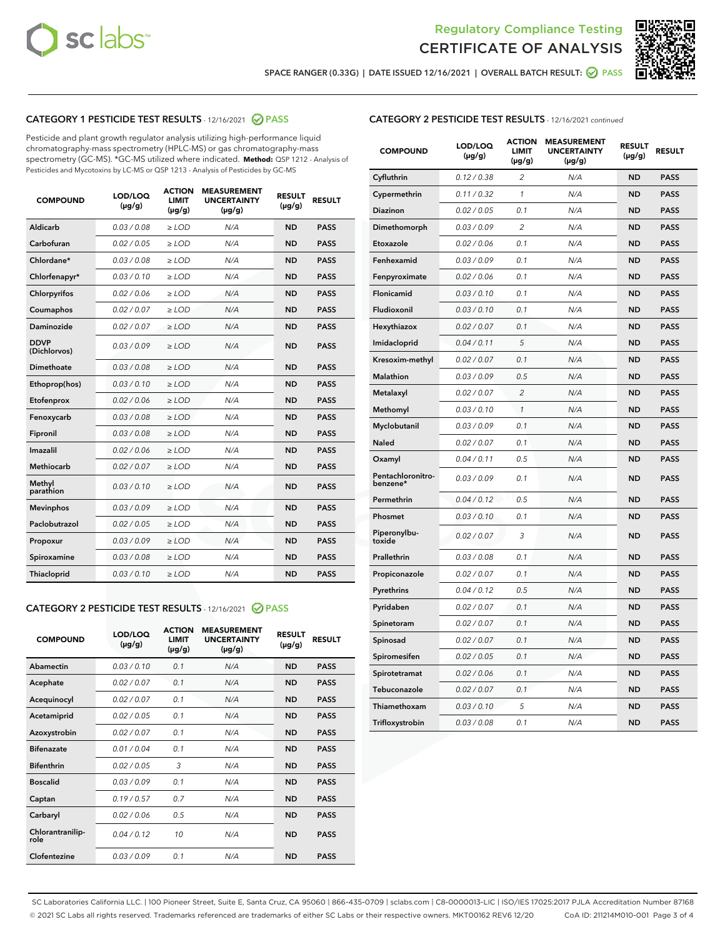



SPACE RANGER (0.33G) | DATE ISSUED 12/16/2021 | OVERALL BATCH RESULT:  $\bigcirc$  PASS

# CATEGORY 1 PESTICIDE TEST RESULTS - 12/16/2021 2 PASS

Pesticide and plant growth regulator analysis utilizing high-performance liquid chromatography-mass spectrometry (HPLC-MS) or gas chromatography-mass spectrometry (GC-MS). \*GC-MS utilized where indicated. **Method:** QSP 1212 - Analysis of Pesticides and Mycotoxins by LC-MS or QSP 1213 - Analysis of Pesticides by GC-MS

| <b>COMPOUND</b>             | LOD/LOQ<br>$(\mu g/g)$ | <b>ACTION</b><br><b>LIMIT</b><br>$(\mu q/q)$ | <b>MEASUREMENT</b><br><b>UNCERTAINTY</b><br>$(\mu g/g)$ | <b>RESULT</b><br>$(\mu g/g)$ | <b>RESULT</b> |
|-----------------------------|------------------------|----------------------------------------------|---------------------------------------------------------|------------------------------|---------------|
| Aldicarb                    | 0.03 / 0.08            | $\ge$ LOD                                    | N/A                                                     | <b>ND</b>                    | <b>PASS</b>   |
| Carbofuran                  | 0.02 / 0.05            | $\ge$ LOD                                    | N/A                                                     | <b>ND</b>                    | <b>PASS</b>   |
| Chlordane*                  | 0.03 / 0.08            | $\ge$ LOD                                    | N/A                                                     | <b>ND</b>                    | <b>PASS</b>   |
| Chlorfenapyr*               | 0.03/0.10              | $\ge$ LOD                                    | N/A                                                     | <b>ND</b>                    | <b>PASS</b>   |
| Chlorpyrifos                | 0.02 / 0.06            | $\ge$ LOD                                    | N/A                                                     | <b>ND</b>                    | <b>PASS</b>   |
| Coumaphos                   | 0.02 / 0.07            | $\ge$ LOD                                    | N/A                                                     | <b>ND</b>                    | <b>PASS</b>   |
| Daminozide                  | 0.02 / 0.07            | $\ge$ LOD                                    | N/A                                                     | <b>ND</b>                    | <b>PASS</b>   |
| <b>DDVP</b><br>(Dichlorvos) | 0.03/0.09              | $>$ LOD                                      | N/A                                                     | <b>ND</b>                    | <b>PASS</b>   |
| Dimethoate                  | 0.03 / 0.08            | $\ge$ LOD                                    | N/A                                                     | <b>ND</b>                    | <b>PASS</b>   |
| Ethoprop(hos)               | 0.03/0.10              | $\ge$ LOD                                    | N/A                                                     | <b>ND</b>                    | <b>PASS</b>   |
| Etofenprox                  | 0.02/0.06              | $>$ LOD                                      | N/A                                                     | <b>ND</b>                    | <b>PASS</b>   |
| Fenoxycarb                  | 0.03 / 0.08            | $\ge$ LOD                                    | N/A                                                     | <b>ND</b>                    | <b>PASS</b>   |
| Fipronil                    | 0.03/0.08              | $>$ LOD                                      | N/A                                                     | <b>ND</b>                    | <b>PASS</b>   |
| Imazalil                    | 0.02 / 0.06            | $\ge$ LOD                                    | N/A                                                     | <b>ND</b>                    | <b>PASS</b>   |
| Methiocarb                  | 0.02 / 0.07            | $\ge$ LOD                                    | N/A                                                     | <b>ND</b>                    | <b>PASS</b>   |
| Methyl<br>parathion         | 0.03/0.10              | $>$ LOD                                      | N/A                                                     | <b>ND</b>                    | <b>PASS</b>   |
| <b>Mevinphos</b>            | 0.03/0.09              | $>$ LOD                                      | N/A                                                     | <b>ND</b>                    | <b>PASS</b>   |
| Paclobutrazol               | 0.02 / 0.05            | $\ge$ LOD                                    | N/A                                                     | <b>ND</b>                    | <b>PASS</b>   |
| Propoxur                    | 0.03 / 0.09            | $\ge$ LOD                                    | N/A                                                     | <b>ND</b>                    | <b>PASS</b>   |
| Spiroxamine                 | 0.03 / 0.08            | $\ge$ LOD                                    | N/A                                                     | <b>ND</b>                    | <b>PASS</b>   |
| Thiacloprid                 | 0.03/0.10              | $\ge$ LOD                                    | N/A                                                     | <b>ND</b>                    | <b>PASS</b>   |

#### CATEGORY 2 PESTICIDE TEST RESULTS - 12/16/2021 @ PASS

| <b>COMPOUND</b>          | LOD/LOO<br>$(\mu g/g)$ | <b>ACTION</b><br>LIMIT<br>$(\mu g/g)$ | <b>MEASUREMENT</b><br><b>UNCERTAINTY</b><br>$(\mu g/g)$ | <b>RESULT</b><br>$(\mu g/g)$ | <b>RESULT</b> |
|--------------------------|------------------------|---------------------------------------|---------------------------------------------------------|------------------------------|---------------|
| Abamectin                | 0.03/0.10              | 0.1                                   | N/A                                                     | <b>ND</b>                    | <b>PASS</b>   |
| Acephate                 | 0.02/0.07              | 0.1                                   | N/A                                                     | <b>ND</b>                    | <b>PASS</b>   |
| Acequinocyl              | 0.02/0.07              | 0.1                                   | N/A                                                     | <b>ND</b>                    | <b>PASS</b>   |
| Acetamiprid              | 0.02/0.05              | 0.1                                   | N/A                                                     | <b>ND</b>                    | <b>PASS</b>   |
| Azoxystrobin             | 0.02/0.07              | 0.1                                   | N/A                                                     | <b>ND</b>                    | <b>PASS</b>   |
| <b>Bifenazate</b>        | 0.01/0.04              | 0.1                                   | N/A                                                     | <b>ND</b>                    | <b>PASS</b>   |
| <b>Bifenthrin</b>        | 0.02 / 0.05            | 3                                     | N/A                                                     | <b>ND</b>                    | <b>PASS</b>   |
| <b>Boscalid</b>          | 0.03/0.09              | 0.1                                   | N/A                                                     | <b>ND</b>                    | <b>PASS</b>   |
| Captan                   | 0.19/0.57              | 0.7                                   | N/A                                                     | <b>ND</b>                    | <b>PASS</b>   |
| Carbaryl                 | 0.02/0.06              | 0.5                                   | N/A                                                     | <b>ND</b>                    | <b>PASS</b>   |
| Chlorantranilip-<br>role | 0.04/0.12              | 10                                    | N/A                                                     | <b>ND</b>                    | <b>PASS</b>   |
| Clofentezine             | 0.03/0.09              | 0.1                                   | N/A                                                     | <b>ND</b>                    | <b>PASS</b>   |

# CATEGORY 2 PESTICIDE TEST RESULTS - 12/16/2021 continued

| <b>COMPOUND</b>               | LOD/LOQ<br>(µg/g) | <b>ACTION</b><br><b>LIMIT</b><br>$(\mu g/g)$ | <b>MEASUREMENT</b><br><b>UNCERTAINTY</b><br>$(\mu g/g)$ | <b>RESULT</b><br>(µg/g) | <b>RESULT</b> |
|-------------------------------|-------------------|----------------------------------------------|---------------------------------------------------------|-------------------------|---------------|
| Cyfluthrin                    | 0.12 / 0.38       | $\overline{c}$                               | N/A                                                     | <b>ND</b>               | <b>PASS</b>   |
| Cypermethrin                  | 0.11 / 0.32       | 1                                            | N/A                                                     | ND                      | <b>PASS</b>   |
| <b>Diazinon</b>               | 0.02 / 0.05       | 0.1                                          | N/A                                                     | ND                      | <b>PASS</b>   |
| Dimethomorph                  | 0.03 / 0.09       | 2                                            | N/A                                                     | ND                      | PASS          |
| Etoxazole                     | 0.02 / 0.06       | 0.1                                          | N/A                                                     | ND                      | <b>PASS</b>   |
| Fenhexamid                    | 0.03 / 0.09       | 0.1                                          | N/A                                                     | <b>ND</b>               | <b>PASS</b>   |
| Fenpyroximate                 | 0.02 / 0.06       | 0.1                                          | N/A                                                     | ND                      | <b>PASS</b>   |
| Flonicamid                    | 0.03 / 0.10       | 0.1                                          | N/A                                                     | ND                      | <b>PASS</b>   |
| Fludioxonil                   | 0.03 / 0.10       | 0.1                                          | N/A                                                     | <b>ND</b>               | <b>PASS</b>   |
| Hexythiazox                   | 0.02 / 0.07       | 0.1                                          | N/A                                                     | <b>ND</b>               | <b>PASS</b>   |
| Imidacloprid                  | 0.04 / 0.11       | 5                                            | N/A                                                     | ND                      | <b>PASS</b>   |
| Kresoxim-methyl               | 0.02 / 0.07       | 0.1                                          | N/A                                                     | <b>ND</b>               | <b>PASS</b>   |
| <b>Malathion</b>              | 0.03 / 0.09       | 0.5                                          | N/A                                                     | <b>ND</b>               | <b>PASS</b>   |
| Metalaxyl                     | 0.02 / 0.07       | $\overline{c}$                               | N/A                                                     | ND                      | <b>PASS</b>   |
| Methomyl                      | 0.03 / 0.10       | 1                                            | N/A                                                     | <b>ND</b>               | <b>PASS</b>   |
| Myclobutanil                  | 0.03 / 0.09       | 0.1                                          | N/A                                                     | ND                      | <b>PASS</b>   |
| Naled                         | 0.02 / 0.07       | 0.1                                          | N/A                                                     | ND                      | <b>PASS</b>   |
| Oxamyl                        | 0.04 / 0.11       | 0.5                                          | N/A                                                     | ND                      | PASS          |
| Pentachloronitro-<br>benzene* | 0.03 / 0.09       | 0.1                                          | N/A                                                     | ND                      | <b>PASS</b>   |
| Permethrin                    | 0.04 / 0.12       | 0.5                                          | N/A                                                     | ND                      | <b>PASS</b>   |
| Phosmet                       | 0.03 / 0.10       | 0.1                                          | N/A                                                     | <b>ND</b>               | <b>PASS</b>   |
| Piperonylbu-<br>toxide        | 0.02 / 0.07       | 3                                            | N/A                                                     | ND                      | <b>PASS</b>   |
| Prallethrin                   | 0.03 / 0.08       | 0.1                                          | N/A                                                     | <b>ND</b>               | <b>PASS</b>   |
| Propiconazole                 | 0.02 / 0.07       | 0.1                                          | N/A                                                     | ND                      | <b>PASS</b>   |
| Pyrethrins                    | 0.04 / 0.12       | 0.5                                          | N/A                                                     | ND                      | <b>PASS</b>   |
| Pyridaben                     | 0.02 / 0.07       | 0.1                                          | N/A                                                     | ND                      | <b>PASS</b>   |
| Spinetoram                    | 0.02 / 0.07       | 0.1                                          | N/A                                                     | <b>ND</b>               | <b>PASS</b>   |
| Spinosad                      | 0.02 / 0.07       | 0.1                                          | N/A                                                     | ND                      | <b>PASS</b>   |
| Spiromesifen                  | 0.02 / 0.05       | 0.1                                          | N/A                                                     | <b>ND</b>               | <b>PASS</b>   |
| Spirotetramat                 | 0.02 / 0.06       | 0.1                                          | N/A                                                     | ND                      | <b>PASS</b>   |
| Tebuconazole                  | 0.02 / 0.07       | 0.1                                          | N/A                                                     | ND                      | <b>PASS</b>   |
| Thiamethoxam                  | 0.03 / 0.10       | 5                                            | N/A                                                     | <b>ND</b>               | <b>PASS</b>   |
| Trifloxystrobin               | 0.03 / 0.08       | 0.1                                          | N/A                                                     | <b>ND</b>               | <b>PASS</b>   |

SC Laboratories California LLC. | 100 Pioneer Street, Suite E, Santa Cruz, CA 95060 | 866-435-0709 | sclabs.com | C8-0000013-LIC | ISO/IES 17025:2017 PJLA Accreditation Number 87168 © 2021 SC Labs all rights reserved. Trademarks referenced are trademarks of either SC Labs or their respective owners. MKT00162 REV6 12/20 CoA ID: 211214M010-001 Page 3 of 4